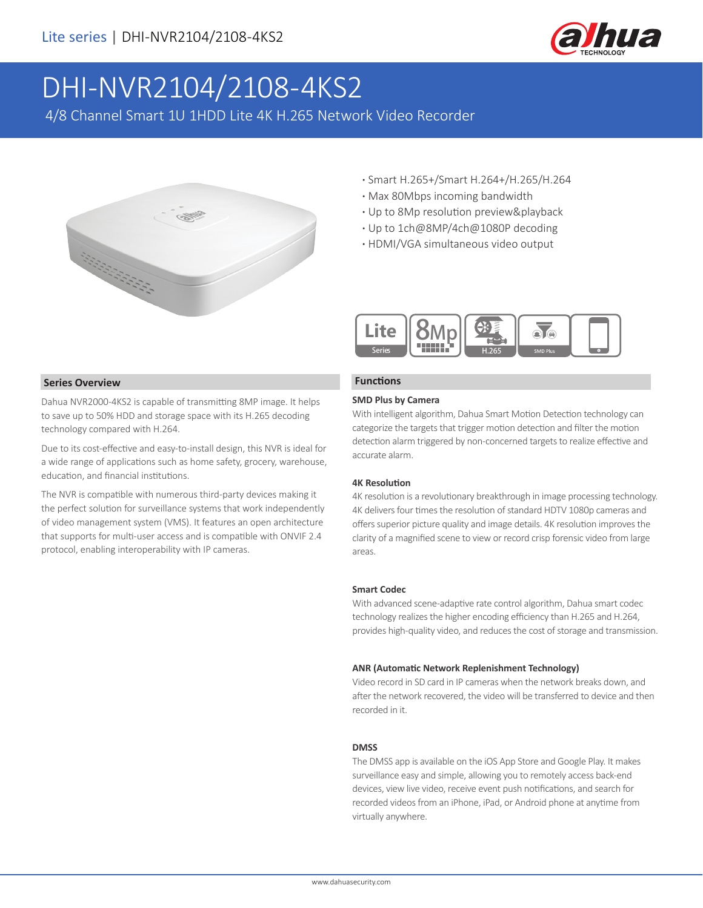

# DHI-NVR2104/2108-4KS2

4/8 Channel Smart 1U 1HDD Lite 4K H.265 Network Video Recorder



- **·** Smart H.265+/Smart H.264+/H.265/H.264
- **·** Max 80Mbps incoming bandwidth
- **·** Up to 8Mp resolution preview&playback
- **·** Up to 1ch@8MP/4ch@1080P decoding
- **·** HDMI/VGA simultaneous video output



#### **Functions**

#### **SMD Plus by Camera**

With intelligent algorithm, Dahua Smart Motion Detection technology can categorize the targets that trigger motion detection and filter the motion detection alarm triggered by non-concerned targets to realize effective and accurate alarm.

#### **4K Resolution**

4K resolution is a revolutionary breakthrough in image processing technology. 4K delivers four times the resolution of standard HDTV 1080p cameras and offers superior picture quality and image details. 4K resolution improves the clarity of a magnified scene to view or record crisp forensic video from large areas.

#### **Smart Codec**

With advanced scene-adaptive rate control algorithm, Dahua smart codec technology realizes the higher encoding efficiency than H.265 and H.264, provides high-quality video, and reduces the cost of storage and transmission.

#### **ANR (Automatic Network Replenishment Technology)**

Video record in SD card in IP cameras when the network breaks down, and after the network recovered, the video will be transferred to device and then recorded in it.

#### **DMSS**

The DMSS app is available on the iOS App Store and Google Play. It makes surveillance easy and simple, allowing you to remotely access back-end devices, view live video, receive event push notifications, and search for recorded videos from an iPhone, iPad, or Android phone at anytime from virtually anywhere.

#### **Series Overview**

Dahua NVR2000-4KS2 is capable of transmitting 8MP image. It helps to save up to 50% HDD and storage space with its H.265 decoding technology compared with H.264.

Due to its cost-effective and easy-to-install design, this NVR is ideal for a wide range of applications such as home safety, grocery, warehouse, education, and financial institutions.

The NVR is compatible with numerous third-party devices making it the perfect solution for surveillance systems that work independently of video management system (VMS). It features an open architecture that supports for multi-user access and is compatible with ONVIF 2.4 protocol, enabling interoperability with IP cameras.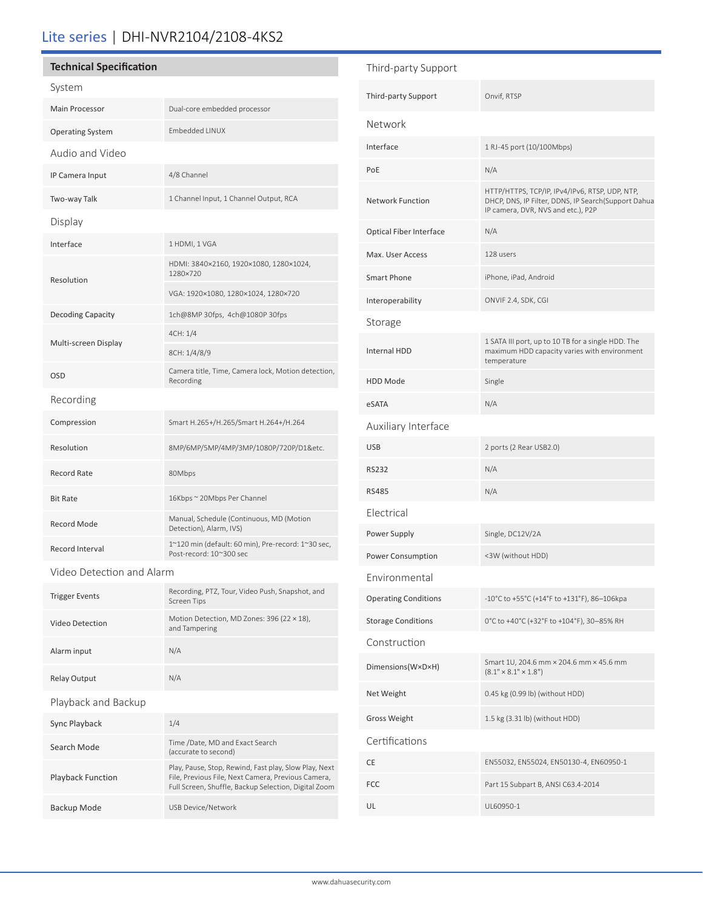## Lite series | DHI-NVR2104/2108-4KS2

### **Technical Specification**

| System                   |                                                                               |  |
|--------------------------|-------------------------------------------------------------------------------|--|
| Main Processor           | Dual-core embedded processor                                                  |  |
| <b>Operating System</b>  | <b>Embedded LINUX</b>                                                         |  |
| Audio and Video          |                                                                               |  |
| IP Camera Input          | 4/8 Channel                                                                   |  |
| Two-way Talk             | 1 Channel Input, 1 Channel Output, RCA                                        |  |
| Display                  |                                                                               |  |
| Interface                | 1 HDMI, 1 VGA                                                                 |  |
| Resolution               | HDMI: 3840×2160, 1920×1080, 1280×1024,<br>1280×720                            |  |
|                          | VGA: 1920×1080, 1280×1024, 1280×720                                           |  |
| <b>Decoding Capacity</b> | 1ch@8MP30fps, 4ch@1080P30fps                                                  |  |
|                          | 4CH: 1/4                                                                      |  |
|                          |                                                                               |  |
| Multi-screen Display     | 8CH: 1/4/8/9                                                                  |  |
| <b>OSD</b>               | Camera title, Time, Camera lock, Motion detection,<br>Recording               |  |
| Recording                |                                                                               |  |
| Compression              | Smart H.265+/H.265/Smart H.264+/H.264                                         |  |
| Resolution               | 8MP/6MP/5MP/4MP/3MP/1080P/720P/D1&etc.                                        |  |
| Record Rate              | 80Mbps                                                                        |  |
| <b>Bit Rate</b>          | 16Kbps ~ 20Mbps Per Channel                                                   |  |
| Record Mode              | Manual, Schedule (Continuous, MD (Motion<br>Detection), Alarm, IVS)           |  |
| Record Interval          | 1~120 min (default: 60 min), Pre-record: 1~30 sec,<br>Post-record: 10~300 sec |  |

Video Detection and Alarm

| <b>Trigger Events</b>    | Recording, PTZ, Tour, Video Push, Snapshot, and<br><b>Screen Tips</b>                                                                                               |
|--------------------------|---------------------------------------------------------------------------------------------------------------------------------------------------------------------|
| Video Detection          | Motion Detection, MD Zones: 396 (22 × 18),<br>and Tampering                                                                                                         |
| Alarm input              | N/A                                                                                                                                                                 |
| <b>Relay Output</b>      | N/A                                                                                                                                                                 |
| Playback and Backup      |                                                                                                                                                                     |
| Sync Playback            | 1/4                                                                                                                                                                 |
| Search Mode              | Time /Date, MD and Exact Search<br>(accurate to second)                                                                                                             |
| <b>Playback Function</b> | Play, Pause, Stop, Rewind, Fast play, Slow Play, Next<br>File, Previous File, Next Camera, Previous Camera,<br>Full Screen, Shuffle, Backup Selection, Digital Zoom |
| Backup Mode              | USB Device/Network                                                                                                                                                  |

| Third-party Support         |                                                                                                                                             |  |
|-----------------------------|---------------------------------------------------------------------------------------------------------------------------------------------|--|
| Third-party Support         | Onvif, RTSP                                                                                                                                 |  |
| Network                     |                                                                                                                                             |  |
| Interface                   | 1 RJ-45 port (10/100Mbps)                                                                                                                   |  |
| PoE                         | N/A                                                                                                                                         |  |
| <b>Network Function</b>     | HTTP/HTTPS, TCP/IP, IPv4/IPv6, RTSP, UDP, NTP,<br>DHCP, DNS, IP Filter, DDNS, IP Search(Support Dahua<br>IP camera, DVR, NVS and etc.), P2P |  |
| Optical Fiber Interface     | N/A                                                                                                                                         |  |
| Max. User Access            | 128 users                                                                                                                                   |  |
| Smart Phone                 | iPhone, iPad, Android                                                                                                                       |  |
| Interoperability            | ONVIF 2.4, SDK, CGI                                                                                                                         |  |
| Storage                     |                                                                                                                                             |  |
| <b>Internal HDD</b>         | 1 SATA III port, up to 10 TB for a single HDD. The<br>maximum HDD capacity varies with environment<br>temperature                           |  |
| <b>HDD Mode</b>             | Single                                                                                                                                      |  |
| eSATA                       | N/A                                                                                                                                         |  |
| Auxiliary Interface         |                                                                                                                                             |  |
| <b>USB</b>                  | 2 ports (2 Rear USB2.0)                                                                                                                     |  |
| <b>RS232</b>                | N/A                                                                                                                                         |  |
| <b>RS485</b>                | N/A                                                                                                                                         |  |
| Electrical                  |                                                                                                                                             |  |
| Power Supply                | Single, DC12V/2A                                                                                                                            |  |
| Power Consumption           | <3W (without HDD)                                                                                                                           |  |
| Environmental               |                                                                                                                                             |  |
| <b>Operating Conditions</b> | -10°C to +55°C (+14°F to +131°F), 86-106kpa                                                                                                 |  |
| <b>Storage Conditions</b>   | 0°C to +40°C (+32°F to +104°F), 30-85% RH                                                                                                   |  |
| Construction                |                                                                                                                                             |  |
| Dimensions (W×D×H)          | Smart 1U, 204.6 mm × 204.6 mm × 45.6 mm<br>$(8.1" \times 8.1" \times 1.8")$                                                                 |  |
| Net Weight                  | 0.45 kg (0.99 lb) (without HDD)                                                                                                             |  |
| <b>Gross Weight</b>         | 1.5 kg (3.31 lb) (without HDD)                                                                                                              |  |
| Certifications              |                                                                                                                                             |  |
| CE                          | EN55032, EN55024, EN50130-4, EN60950-1                                                                                                      |  |
|                             |                                                                                                                                             |  |
| <b>FCC</b>                  | Part 15 Subpart B, ANSI C63.4-2014                                                                                                          |  |